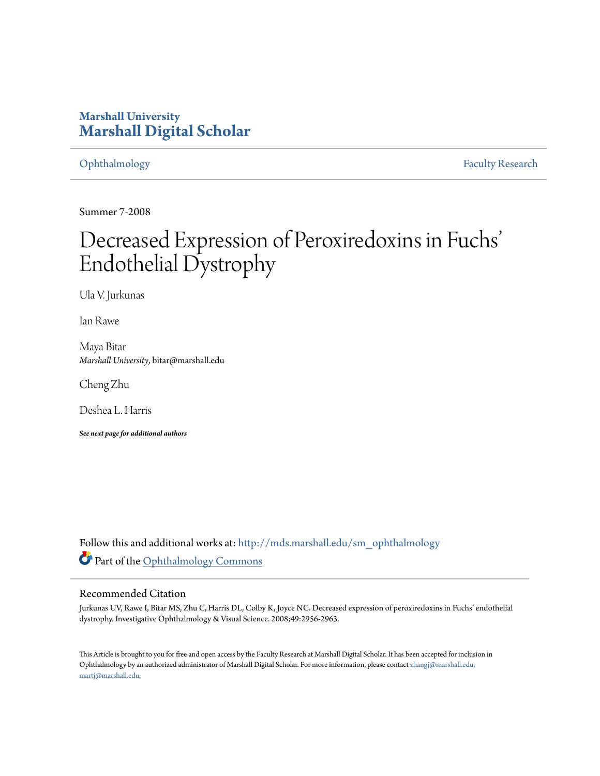## **Marshall University [Marshall Digital Scholar](http://mds.marshall.edu?utm_source=mds.marshall.edu%2Fsm_ophthalmology%2F8&utm_medium=PDF&utm_campaign=PDFCoverPages)**

[Ophthalmology](http://mds.marshall.edu/sm_ophthalmology?utm_source=mds.marshall.edu%2Fsm_ophthalmology%2F8&utm_medium=PDF&utm_campaign=PDFCoverPages) [Faculty Research](http://mds.marshall.edu/sm_faculty?utm_source=mds.marshall.edu%2Fsm_ophthalmology%2F8&utm_medium=PDF&utm_campaign=PDFCoverPages)

Summer 7-2008

# Decreased Expression of Peroxiredoxins in Fuchs' Endothelial Dystrophy

Ula V. Jurkunas

Ian Rawe

Maya Bitar *Marshall University*, bitar@marshall.edu

Cheng Zhu

Deshea L. Harris

*See next page for additional authors*

Follow this and additional works at: [http://mds.marshall.edu/sm\\_ophthalmology](http://mds.marshall.edu/sm_ophthalmology?utm_source=mds.marshall.edu%2Fsm_ophthalmology%2F8&utm_medium=PDF&utm_campaign=PDFCoverPages) Part of the [Ophthalmology Commons](http://network.bepress.com/hgg/discipline/695?utm_source=mds.marshall.edu%2Fsm_ophthalmology%2F8&utm_medium=PDF&utm_campaign=PDFCoverPages)

### Recommended Citation

Jurkunas UV, Rawe I, Bitar MS, Zhu C, Harris DL, Colby K, Joyce NC. Decreased expression of peroxiredoxins in Fuchs' endothelial dystrophy. Investigative Ophthalmology & Visual Science. 2008;49:2956-2963.

This Article is brought to you for free and open access by the Faculty Research at Marshall Digital Scholar. It has been accepted for inclusion in Ophthalmology by an authorized administrator of Marshall Digital Scholar. For more information, please contact [zhangj@marshall.edu,](mailto:zhangj@marshall.edu,%20martj@marshall.edu) [martj@marshall.edu](mailto:zhangj@marshall.edu,%20martj@marshall.edu).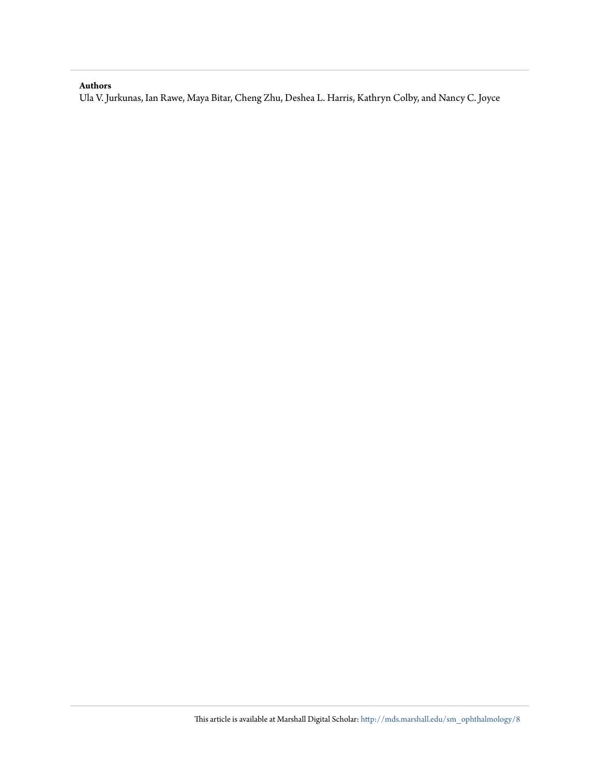### **Authors**

Ula V. Jurkunas, Ian Rawe, Maya Bitar, Cheng Zhu, Deshea L. Harris, Kathryn Colby, and Nancy C. Joyce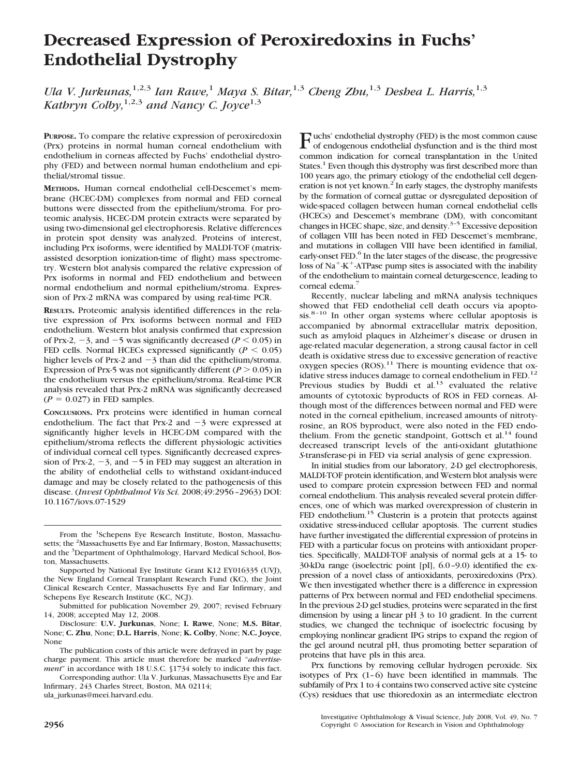## **Decreased Expression of Peroxiredoxins in Fuchs' Endothelial Dystrophy**

*Ula V. Jurkunas,*1,2,3 *Ian Rawe,*<sup>1</sup> *Maya S. Bitar,*1,3 *Cheng Zhu,*1,3 *Deshea L. Harris,*1,3 *Kathryn Colby,*1,2,3 *and Nancy C. Joyce*1,3

**PURPOSE.** To compare the relative expression of peroxiredoxin (Prx) proteins in normal human corneal endothelium with endothelium in corneas affected by Fuchs' endothelial dystrophy (FED) and between normal human endothelium and epithelial/stromal tissue.

**METHODS.** Human corneal endothelial cell-Descemet's membrane (HCEC-DM) complexes from normal and FED corneal buttons were dissected from the epithelium/stroma. For proteomic analysis, HCEC-DM protein extracts were separated by using two-dimensional gel electrophoresis. Relative differences in protein spot density was analyzed. Proteins of interest, including Prx isoforms, were identified by MALDI-TOF (matrixassisted desorption ionization-time of flight) mass spectrometry. Western blot analysis compared the relative expression of Prx isoforms in normal and FED endothelium and between normal endothelium and normal epithelium/stroma. Expression of Prx-2 mRNA was compared by using real-time PCR.

**RESULTS.** Proteomic analysis identified differences in the relative expression of Prx isoforms between normal and FED endothelium. Western blot analysis confirmed that expression of Prx-2,  $-3$ , and  $-5$  was significantly decreased ( $P < 0.05$ ) in FED cells. Normal HCECs expressed significantly ( $P < 0.05$ ) higher levels of Prx-2 and  $-3$  than did the epithelium/stroma. Expression of Prx-5 was not significantly different ( $P > 0.05$ ) in the endothelium versus the epithelium/stroma. Real-time PCR analysis revealed that Prx-2 mRNA was significantly decreased  $(P = 0.027)$  in FED samples.

**CONCLUSIONS.** Prx proteins were identified in human corneal endothelium. The fact that Prx-2 and  $-3$  were expressed at significantly higher levels in HCEC-DM compared with the epithelium/stroma reflects the different physiologic activities of individual corneal cell types. Significantly decreased expression of Prx-2,  $-3$ , and  $-5$  in FED may suggest an alteration in the ability of endothelial cells to withstand oxidant-induced damage and may be closely related to the pathogenesis of this disease. (*Invest Ophthalmol Vis Sci.* 2008;49:2956–2963) DOI: 10.1167/iovs.07-1529

Corresponding author: Ula V. Jurkunas, Massachusetts Eye and Ear Infirmary, 243 Charles Street, Boston, MA 02114;

ula\_jurkunas@meei.harvard.edu.

Fuchs' endothelial dystrophy (FED) is the most common cause of endogenous endothelial dysfunction and is the third most common indication for corneal transplantation in the United States.<sup>1</sup> Even though this dystrophy was first described more than 100 years ago, the primary etiology of the endothelial cell degeneration is not yet known.<sup>2</sup> In early stages, the dystrophy manifests by the formation of corneal guttae or dysregulated deposition of wide-spaced collagen between human corneal endothelial cells (HCECs) and Descemet's membrane (DM), with concomitant changes in HCEC shape, size, and density.<sup>3-5</sup> Excessive deposition of collagen VIII has been noted in FED Descemet's membrane, and mutations in collagen VIII have been identified in familial, early-onset FED.<sup>6</sup> In the later stages of the disease, the progressive loss of Na<sup>+</sup>-K<sup>+</sup>-ATPase pump sites is associated with the inability of the endothelium to maintain corneal deturgescence, leading to corneal edema.<sup>7</sup>

Recently, nuclear labeling and mRNA analysis techniques showed that FED endothelial cell death occurs via apopto $s$ is.<sup>8–10</sup> In other organ systems where cellular apoptosis is accompanied by abnormal extracellular matrix deposition, such as amyloid plaques in Alzheimer's disease or drusen in age-related macular degeneration, a strong causal factor in cell death is oxidative stress due to excessive generation of reactive oxygen species  $(ROS)$ .<sup>11</sup> There is mounting evidence that oxidative stress induces damage to corneal endothelium in FED.<sup>12</sup> Previous studies by Buddi et al. $13$  evaluated the relative amounts of cytotoxic byproducts of ROS in FED corneas. Although most of the differences between normal and FED were noted in the corneal epithelium, increased amounts of nitrotyrosine, an ROS byproduct, were also noted in the FED endothelium. From the genetic standpoint, Gottsch et al. $14$  found decreased transcript levels of the anti-oxidant glutathione *S*-transferase-pi in FED via serial analysis of gene expression.

In initial studies from our laboratory, 2-D gel electrophoresis, MALDI-TOF protein identification, and Western blot analysis were used to compare protein expression between FED and normal corneal endothelium. This analysis revealed several protein differences, one of which was marked overexpression of clusterin in FED endothelium.<sup>15</sup> Clusterin is a protein that protects against oxidative stress-induced cellular apoptosis. The current studies have further investigated the differential expression of proteins in FED with a particular focus on proteins with antioxidant properties. Specifically, MALDI-TOF analysis of normal gels at a 15- to 30-kDa range (isoelectric point [pI], 6.0–9.0) identified the expression of a novel class of antioxidants, peroxiredoxins (Prx). We then investigated whether there is a difference in expression patterns of Prx between normal and FED endothelial specimens. In the previous 2-D gel studies, proteins were separated in the first dimension by using a linear pH 3 to 10 gradient. In the current studies, we changed the technique of isoelectric focusing by employing nonlinear gradient IPG strips to expand the region of the gel around neutral pH, thus promoting better separation of proteins that have pIs in this area.

Prx functions by removing cellular hydrogen peroxide. Six isotypes of Prx (1–6) have been identified in mammals. The subfamily of Prx 1 to 4 contains two conserved active site cysteine (Cys) residues that use thioredoxin as an intermediate electron

From the <sup>1</sup>Schepens Eye Research Institute, Boston, Massachusetts; the <sup>2</sup>Massachusetts Eye and Ear Infirmary, Boston, Massachusetts; and the <sup>3</sup>Department of Ophthalmology, Harvard Medical School, Boston, Massachusetts.

Supported by National Eye Institute Grant K12 EY016335 (UVJ), the New England Corneal Transplant Research Fund (KC), the Joint Clinical Research Center, Massachusetts Eye and Ear Infirmary, and Schepens Eye Research Institute (KC, NCJ).

Submitted for publication November 29, 2007; revised February 14, 2008; accepted May 12, 2008.

Disclosure: **U.V. Jurkunas**, None; **I. Rawe**, None; **M.S. Bitar**, None; **C. Zhu**, None; **D.L. Harris**, None; **K. Colby**, None; **N.C. Joyce**, None

The publication costs of this article were defrayed in part by page charge payment. This article must therefore be marked "*advertisement*" in accordance with 18 U.S.C. §1734 solely to indicate this fact.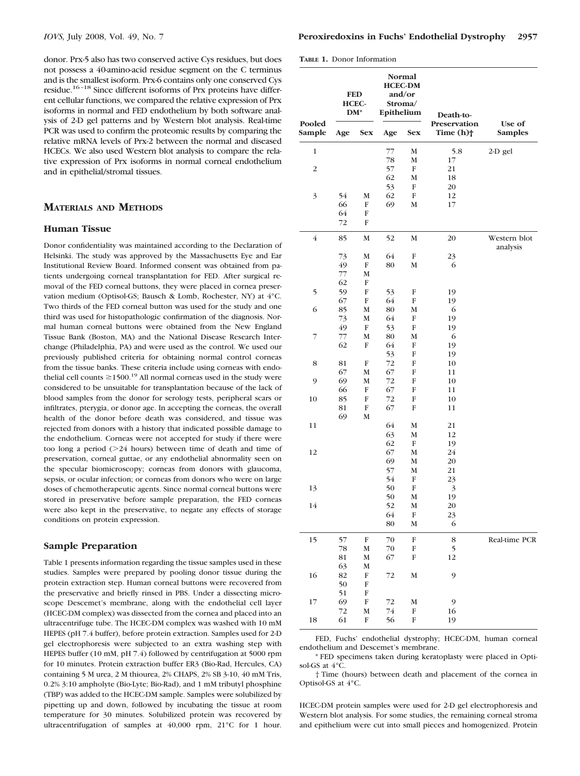donor. Prx-5 also has two conserved active Cys residues, but does not possess a 40-amino-acid residue segment on the C terminus and is the smallest isoform. Prx-6 contains only one conserved Cys residue.16–18 Since different isoforms of Prx proteins have different cellular functions, we compared the relative expression of Prx isoforms in normal and FED endothelium by both software analysis of 2-D gel patterns and by Western blot analysis. Real-time PCR was used to confirm the proteomic results by comparing the relative mRNA levels of Prx-2 between the normal and diseased HCECs. We also used Western blot analysis to compare the relative expression of Prx isoforms in normal corneal endothelium and in epithelial/stromal tissues.

#### **MATERIALS AND METHODS**

#### **Human Tissue**

Donor confidentiality was maintained according to the Declaration of Helsinki. The study was approved by the Massachusetts Eye and Ear Institutional Review Board. Informed consent was obtained from patients undergoing corneal transplantation for FED. After surgical removal of the FED corneal buttons, they were placed in cornea preservation medium (Optisol-GS; Bausch & Lomb, Rochester, NY) at 4°C. Two thirds of the FED corneal button was used for the study and one third was used for histopathologic confirmation of the diagnosis. Normal human corneal buttons were obtained from the New England Tissue Bank (Boston, MA) and the National Disease Research Interchange (Philadelphia, PA) and were used as the control. We used our previously published criteria for obtaining normal control corneas from the tissue banks. These criteria include using corneas with endothelial cell counts  $\geq$ 1500.<sup>19</sup> All normal corneas used in the study were considered to be unsuitable for transplantation because of the lack of blood samples from the donor for serology tests, peripheral scars or infiltrates, pterygia, or donor age. In accepting the corneas, the overall health of the donor before death was considered, and tissue was rejected from donors with a history that indicated possible damage to the endothelium. Corneas were not accepted for study if there were too long a period (24 hours) between time of death and time of preservation, corneal guttae, or any endothelial abnormality seen on the specular biomicroscopy; corneas from donors with glaucoma, sepsis, or ocular infection; or corneas from donors who were on large doses of chemotherapeutic agents. Since normal corneal buttons were stored in preservative before sample preparation, the FED corneas were also kept in the preservative, to negate any effects of storage conditions on protein expression.

#### **Sample Preparation**

Table 1 presents information regarding the tissue samples used in these studies. Samples were prepared by pooling donor tissue during the protein extraction step. Human corneal buttons were recovered from the preservative and briefly rinsed in PBS. Under a dissecting microscope Descemet's membrane, along with the endothelial cell layer (HCEC-DM complex) was dissected from the cornea and placed into an ultracentrifuge tube. The HCEC-DM complex was washed with 10 mM HEPES (pH 7.4 buffer), before protein extraction. Samples used for 2-D gel electrophoresis were subjected to an extra washing step with HEPES buffer (10 mM, pH 7.4) followed by centrifugation at 5000 rpm for 10 minutes. Protein extraction buffer ER3 (Bio-Rad, Hercules, CA) containing 5 M urea, 2 M thiourea, 2% CHAPS, 2% SB 3-10, 40 mM Tris, 0.2% 3:10 ampholyte (Bio-Lyte; Bio-Rad), and 1 mM tributyl phosphine (TBP) was added to the HCEC-DM sample. Samples were solubilized by pipetting up and down, followed by incubating the tissue at room temperature for 30 minutes. Solubilized protein was recovered by ultracentrifugation of samples at 40,000 rpm, 21°C for 1 hour.

**TABLE 1.** Donor Information

| Pooled<br>Sample | <b>FED</b><br>HCEC-<br>$DM^*$ |                   | Normal<br><b>HCEC-DM</b><br>and/or<br>Stroma/<br>Epithelium |              | Death-to-                               |                          |
|------------------|-------------------------------|-------------------|-------------------------------------------------------------|--------------|-----------------------------------------|--------------------------|
|                  | Age                           | <b>Sex</b>        | Age                                                         | <b>Sex</b>   | Preservation<br>Time $(h)$ <sup>+</sup> | Use of<br><b>Samples</b> |
| $\mathbf{1}$     |                               |                   | 77                                                          | M            | 5.8                                     | 2-D gel                  |
| $\overline{c}$   |                               |                   | 78                                                          | М            | 17                                      |                          |
|                  |                               |                   | 57<br>62                                                    | ${\rm F}$    | 21                                      |                          |
|                  |                               |                   | 53                                                          | M<br>F       | 18<br>20                                |                          |
| 3                | 54                            | М                 | 62                                                          | F            | 12                                      |                          |
|                  | 66                            | F                 | 69                                                          | M            | 17                                      |                          |
|                  | 64                            | F                 |                                                             |              |                                         |                          |
|                  | 72                            | F                 |                                                             |              |                                         |                          |
| $\overline{4}$   | 85                            | $\mathbf M$       | 52                                                          | $\mathbf M$  | 20                                      | Western blot<br>analysis |
|                  | 73                            | $\mathbf M$       | 64                                                          | F            | 23                                      |                          |
|                  | 49                            | F                 | 80                                                          | $\mathbf M$  | 6                                       |                          |
|                  | 77                            | M                 |                                                             |              |                                         |                          |
| 5                | 62<br>59                      | F<br>${\bf F}$    | 53                                                          | F            | 19                                      |                          |
|                  | 67                            | ${\bf F}$         | 64                                                          | ${\bf F}$    | 19                                      |                          |
| 6                | 85                            | M                 | 80                                                          | М            | 6                                       |                          |
|                  | 73                            | $\mathbf M$       | 64                                                          | F            | 19                                      |                          |
|                  | 49                            | ${\rm F}$         | 53                                                          | F            | 19                                      |                          |
| 7                | 77                            | M                 | 80                                                          | $\mathbf M$  | 6                                       |                          |
|                  | 62                            | F                 | 64                                                          | F            | 19                                      |                          |
|                  |                               |                   | 53                                                          | F            | 19                                      |                          |
| 8                | 81                            | F                 | 72                                                          | F            | 10                                      |                          |
| 9                | 67<br>69                      | M<br>M            | 67<br>72                                                    | F<br>F       | 11<br>10                                |                          |
|                  | 66                            | F                 | 67                                                          | F            | 11                                      |                          |
| 10               | 85                            | F                 | 72                                                          | F            | 10                                      |                          |
|                  | 81                            | F                 | 67                                                          | F            | 11                                      |                          |
|                  | 69                            | M                 |                                                             |              |                                         |                          |
| 11               |                               |                   | 64                                                          | M            | 21                                      |                          |
|                  |                               |                   | 63                                                          | М            | 12                                      |                          |
|                  |                               |                   | 62                                                          | $\rm F$      | 19                                      |                          |
| 12               |                               |                   | 67<br>69                                                    | M<br>M       | 24<br>20                                |                          |
|                  |                               |                   | 57                                                          | М            | 21                                      |                          |
|                  |                               |                   | 54                                                          | F            | 23                                      |                          |
| 13               |                               |                   | 50                                                          | F            | 3                                       |                          |
|                  |                               |                   | 50                                                          | M            | 19                                      |                          |
| 14               |                               |                   | 52                                                          | M            | 20                                      |                          |
|                  |                               |                   | 64                                                          | $\, {\rm F}$ | 23                                      |                          |
|                  |                               |                   | 80                                                          | $\mathbf M$  | 6                                       |                          |
| 15               | 57                            | F                 | 70                                                          | ${\bf F}$    | 8                                       | Real-time PCR            |
|                  | 78                            | $\mathbf M$       | 70                                                          | F            | 5                                       |                          |
|                  | 81                            | М                 | 67                                                          | F            | 12                                      |                          |
|                  | 63                            | М                 |                                                             |              |                                         |                          |
| 16               | 82<br>50                      | $\, {\rm F}$<br>F | 72                                                          | $\mathbf M$  | 9                                       |                          |
|                  | 51                            | F                 |                                                             |              |                                         |                          |
| 17               | 69                            | $\, {\rm F}$      | 72                                                          | M            | 9                                       |                          |
|                  | 72                            | $\mathbf M$       | 74                                                          | ${\bf F}$    | 16                                      |                          |
| 18               | 61                            | F                 | 56                                                          | F            | 19                                      |                          |
|                  |                               |                   |                                                             |              |                                         |                          |

FED, Fuchs' endothelial dystrophy; HCEC-DM, human corneal endothelium and Descemet's membrane.

\* FED specimens taken during keratoplasty were placed in Optisol-GS at  $4^{\circ}$ C.

† Time (hours) between death and placement of the cornea in Optisol-GS at 4°C.

HCEC-DM protein samples were used for 2-D gel electrophoresis and Western blot analysis. For some studies, the remaining corneal stroma and epithelium were cut into small pieces and homogenized. Protein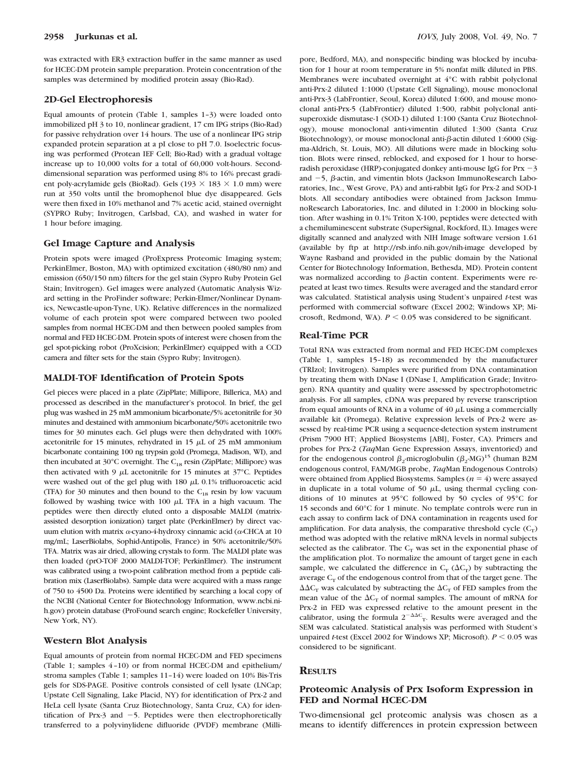was extracted with ER3 extraction buffer in the same manner as used for HCEC-DM protein sample preparation. Protein concentration of the samples was determined by modified protein assay (Bio-Rad).

#### **2D-Gel Electrophoresis**

Equal amounts of protein (Table 1, samples 1–3) were loaded onto immobilized pH 3 to 10, nonlinear gradient, 17 cm IPG strips (Bio-Rad) for passive rehydration over 14 hours. The use of a nonlinear IPG strip expanded protein separation at a pI close to pH 7.0. Isoelectric focusing was performed (Protean IEF Cell; Bio-Rad) with a gradual voltage increase up to 10,000 volts for a total of 60,000 volt-hours. Seconddimensional separation was performed using 8% to 16% precast gradient poly-acrylamide gels (BioRad). Gels (193  $\times$  183  $\times$  1.0 mm) were run at 350 volts until the bromophenol blue dye disappeared. Gels were then fixed in 10% methanol and 7% acetic acid, stained overnight (SYPRO Ruby; Invitrogen, Carlsbad, CA), and washed in water for 1 hour before imaging.

#### **Gel Image Capture and Analysis**

Protein spots were imaged (ProExpress Proteomic Imaging system; PerkinElmer, Boston, MA) with optimized excitation (480/80 nm) and emission (650/150 nm) filters for the gel stain (Sypro Ruby Protein Gel Stain; Invitrogen). Gel images were analyzed (Automatic Analysis Wizard setting in the ProFinder software; Perkin-Elmer/Nonlinear Dynamics, Newcastle-upon-Tyne, UK). Relative differences in the normalized volume of each protein spot were compared between two pooled samples from normal HCEC-DM and then between pooled samples from normal and FED HCEC-DM. Protein spots of interest were chosen from the gel spot-picking robot (ProXcision; PerkinElmer) equipped with a CCD camera and filter sets for the stain (Sypro Ruby; Invitrogen).

#### **MALDI-TOF Identification of Protein Spots**

Gel pieces were placed in a plate (ZipPlate; Millipore, Billerica, MA) and processed as described in the manufacturer's protocol. In brief, the gel plug was washed in 25 mM ammonium bicarbonate/5% acetonitrile for 30 minutes and destained with ammonium bicarbonate/50% acetonitrile two times for 30 minutes each. Gel plugs were then dehydrated with 100% acetonitrile for 15 minutes, rehydrated in 15  $\mu$ L of 25 mM ammonium bicarbonate containing 100 ng trypsin gold (Promega, Madison, WI), and then incubated at 30°C overnight. The  $C_{18}$  resin (ZipPlate; Millipore) was then activated with 9  $\mu$ L acetonitrile for 15 minutes at 37°C. Peptides were washed out of the gel plug with  $180 \mu L$  0.1% trifluoroacetic acid (TFA) for 30 minutes and then bound to the  $C_{18}$  resin by low vacuum followed by washing twice with  $100 \mu$ L TFA in a high vacuum. The peptides were then directly eluted onto a disposable MALDI (matrixassisted desorption ionization) target plate (PerkinElmer) by direct vacuum elution with matrix  $\alpha$ -cyano-4-hydroxy cinnamic acid ( $\alpha$ -CHCA at 10 mg/mL; LaserBiolabs, Sophid-Antipolis, France) in 50% acetonitrile/50% TFA. Matrix was air dried, allowing crystals to form. The MALDI plate was then loaded (prO-TOF 2000 MALDI-TOF; PerkinElmer). The instrument was calibrated using a two-point calibration method from a peptide calibration mix (LaserBiolabs). Sample data were acquired with a mass range of 750 to 4500 Da. Proteins were identified by searching a local copy of the NCBI (National Center for Biotechnology Information, www.ncbi.nih.gov) protein database (ProFound search engine; Rockefeller University, New York, NY).

#### **Western Blot Analysis**

Equal amounts of protein from normal HCEC-DM and FED specimens (Table 1; samples 4–10) or from normal HCEC-DM and epithelium/ stroma samples (Table 1; samples 11–14) were loaded on 10% Bis-Tris gels for SDS-PAGE. Positive controls consisted of cell lysate (LNCap; Upstate Cell Signaling, Lake Placid, NY) for identification of Prx-2 and HeLa cell lysate (Santa Cruz Biotechnology, Santa Cruz, CA) for identification of Prx-3 and  $-5$ . Peptides were then electrophoretically transferred to a polyvinylidene difluoride (PVDF) membrane (Millipore, Bedford, MA), and nonspecific binding was blocked by incubation for 1 hour at room temperature in 5% nonfat milk diluted in PBS. Membranes were incubated overnight at 4°C with rabbit polyclonal anti-Prx-2 diluted 1:1000 (Upstate Cell Signaling), mouse monoclonal anti-Prx-3 (LabFrontier, Seoul, Korea) diluted 1:600, and mouse monoclonal anti-Prx-5 (LabFrontier) diluted 1:500, rabbit polyclonal antisuperoxide dismutase-1 (SOD-1) diluted 1:100 (Santa Cruz Biotechnology), mouse monoclonal anti-vimentin diluted 1:300 (Santa Cruz Biotechnology), or mouse monoclonal anti- $\beta$ -actin diluted 1:6000 (Sigma-Aldrich, St. Louis, MO). All dilutions were made in blocking solution. Blots were rinsed, reblocked, and exposed for 1 hour to horseradish peroxidase (HRP)-conjugated donkey anti-mouse IgG for Prx  $-3$ and  $-5$ ,  $\beta$ -actin, and vimentin blots (Jackson ImmunoResearch Laboratories, Inc., West Grove, PA) and anti-rabbit IgG for Prx-2 and SOD-1 blots. All secondary antibodies were obtained from Jackson ImmunoResearch Laboratories, Inc. and diluted in 1:2000 in blocking solution. After washing in 0.1% Triton X-100, peptides were detected with a chemiluminescent substrate (SuperSignal, Rockford, IL). Images were digitally scanned and analyzed with NIH Image software version 1.61 (available by ftp at http://rsb.info.nih.gov/nih-image developed by Wayne Rasband and provided in the public domain by the National Center for Biotechnology Information, Bethesda, MD). Protein content was normalized according to  $\beta$ -actin content. Experiments were repeated at least two times. Results were averaged and the standard error was calculated. Statistical analysis using Student's unpaired *t*-test was performed with commercial software (Excel 2002; Windows XP; Microsoft, Redmond, WA).  $P \le 0.05$  was considered to be significant.

#### **Real-Time PCR**

Total RNA was extracted from normal and FED HCEC-DM complexes (Table 1, samples 15–18) as recommended by the manufacturer (TRIzol; Invitrogen). Samples were purified from DNA contamination by treating them with DNase I (DNase I, Amplification Grade; Invitrogen). RNA quantity and quality were assessed by spectrophotometric analysis. For all samples, cDNA was prepared by reverse transcription from equal amounts of RNA in a volume of  $40 \mu$ L using a commercially available kit (Promega). Relative expression levels of Prx-2 were assessed by real-time PCR using a sequence-detection system instrument (Prism 7900 HT; Applied Biosystems [ABI], Foster, CA). Primers and probes for Prx-2 (*Taq*Man Gene Expression Assays, inventoried) and for the endogenous control  $\beta_2$  microglobulin  $(\beta_2\text{-MG})^{15}$  (human B2M endogenous control, FAM/MGB probe, *Taq*Man Endogenous Controls) were obtained from Applied Biosystems. Samples  $(n = 4)$  were assayed in duplicate in a total volume of 50  $\mu$ L, using thermal cycling conditions of 10 minutes at 95°C followed by 50 cycles of 95°C for 15 seconds and 60°C for 1 minute. No template controls were run in each assay to confirm lack of DNA contamination in reagents used for amplification. For data analysis, the comparative threshold cycle  $(C_T)$ method was adopted with the relative mRNA levels in normal subjects selected as the calibrator. The  $C_T$  was set in the exponential phase of the amplification plot. To normalize the amount of target gene in each sample, we calculated the difference in  $C_T (\Delta C_T)$  by subtracting the average  $C_T$  of the endogenous control from that of the target gene. The  $\Delta\Delta C_{\text{T}}$  was calculated by subtracting the  $\Delta C_{\text{T}}$  of FED samples from the mean value of the  $\Delta C_T$  of normal samples. The amount of mRNA for Prx-2 in FED was expressed relative to the amount present in the calibrator, using the formula  $2^{-\Delta\Delta C}$ <sub>T</sub>. Results were averaged and the SEM was calculated. Statistical analysis was performed with Student's unpaired *t*-test (Excel 2002 for Windows XP; Microsoft).  $P \le 0.05$  was considered to be significant.

#### **RESULTS**

#### **Proteomic Analysis of Prx Isoform Expression in FED and Normal HCEC-DM**

Two-dimensional gel proteomic analysis was chosen as a means to identify differences in protein expression between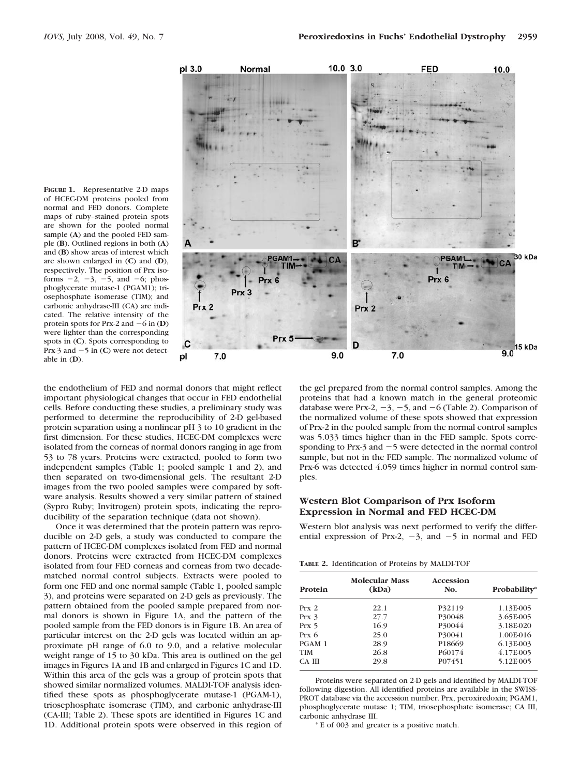

**FIGURE 1.** Representative 2-D maps of HCEC-DM proteins pooled from normal and FED donors. Complete maps of ruby–stained protein spots are shown for the pooled normal sample (**A**) and the pooled FED sample (**B**). Outlined regions in both (**A**) and (**B**) show areas of interest which are shown enlarged in (**C**) and (**D**), respectively. The position of Prx isoforms  $-2$ ,  $-3$ ,  $-5$ , and  $-6$ ; phosphoglycerate mutase-1 (PGAM1); triosephosphate isomerase (TIM); and carbonic anhydrase-III (CA) are indicated. The relative intensity of the protein spots for Prx-2 and  $-6$  in (**D**) were lighter than the corresponding spots in (**C**). Spots corresponding to Prx-3 and  $-5$  in (C) were not detectable in (**D**).

the endothelium of FED and normal donors that might reflect important physiological changes that occur in FED endothelial cells. Before conducting these studies, a preliminary study was performed to determine the reproducibility of 2-D gel-based protein separation using a nonlinear pH 3 to 10 gradient in the first dimension. For these studies, HCEC-DM complexes were isolated from the corneas of normal donors ranging in age from 53 to 78 years. Proteins were extracted, pooled to form two independent samples (Table 1; pooled sample 1 and 2), and then separated on two-dimensional gels. The resultant 2-D images from the two pooled samples were compared by software analysis. Results showed a very similar pattern of stained (Sypro Ruby; Invitrogen) protein spots, indicating the reproducibility of the separation technique (data not shown).

Once it was determined that the protein pattern was reproducible on 2-D gels, a study was conducted to compare the pattern of HCEC-DM complexes isolated from FED and normal donors. Proteins were extracted from HCEC-DM complexes isolated from four FED corneas and corneas from two decadematched normal control subjects. Extracts were pooled to form one FED and one normal sample (Table 1, pooled sample 3), and proteins were separated on 2-D gels as previously. The pattern obtained from the pooled sample prepared from normal donors is shown in Figure 1A, and the pattern of the pooled sample from the FED donors is in Figure 1B. An area of particular interest on the 2-D gels was located within an approximate pH range of 6.0 to 9.0, and a relative molecular weight range of 15 to 30 kDa. This area is outlined on the gel images in Figures 1A and 1B and enlarged in Figures 1C and 1D. Within this area of the gels was a group of protein spots that showed similar normalized volumes. MALDI-TOF analysis identified these spots as phosphoglycerate mutase-1 (PGAM-1), triosephosphate isomerase (TIM), and carbonic anhydrase-III (CA-III; Table 2). These spots are identified in Figures 1C and 1D. Additional protein spots were observed in this region of

the gel prepared from the normal control samples. Among the proteins that had a known match in the general proteomic database were Prx-2,  $-3$ ,  $-5$ , and  $-6$  (Table 2). Comparison of the normalized volume of these spots showed that expression of Prx-2 in the pooled sample from the normal control samples was 5.033 times higher than in the FED sample. Spots corresponding to Prx-3 and  $-5$  were detected in the normal control sample, but not in the FED sample. The normalized volume of Prx-6 was detected 4.059 times higher in normal control samples.

#### **Western Blot Comparison of Prx Isoform Expression in Normal and FED HCEC-DM**

Western blot analysis was next performed to verify the differential expression of Prx-2,  $-3$ , and  $-5$  in normal and FED

**TABLE 2.** Identification of Proteins by MALDI-TOF

| Protein          | <b>Molecular Mass</b><br>(kDa) | Accession<br>No. | Probability* |
|------------------|--------------------------------|------------------|--------------|
| Prx 2            | 22.1                           | P32119           | 1.13E-005    |
| Prx <sub>3</sub> | 27.7                           | P30048           | 3.65E-005    |
| $Prx$ 5          | 16.9                           | P30044           | 3.18E-020    |
| $Prx$ 6          | 25.0                           | P30041           | 1.00E-016    |
| PGAM 1           | 28.9                           | P18669           | 6.13E-003    |
| <b>TIM</b>       | 26.8                           | P60174           | 4.17E-005    |
| CA III           | 29.8                           | P07451           | 5.12E-005    |

Proteins were separated on 2-D gels and identified by MALDI-TOF following digestion. All identified proteins are available in the SWISS-PROT database via the accession number. Prx, peroxiredoxin; PGAM1, phosphoglycerate mutase 1; TIM, triosephosphate isomerase; CA III, carbonic anhydrase III.

\* E of 003 and greater is a positive match.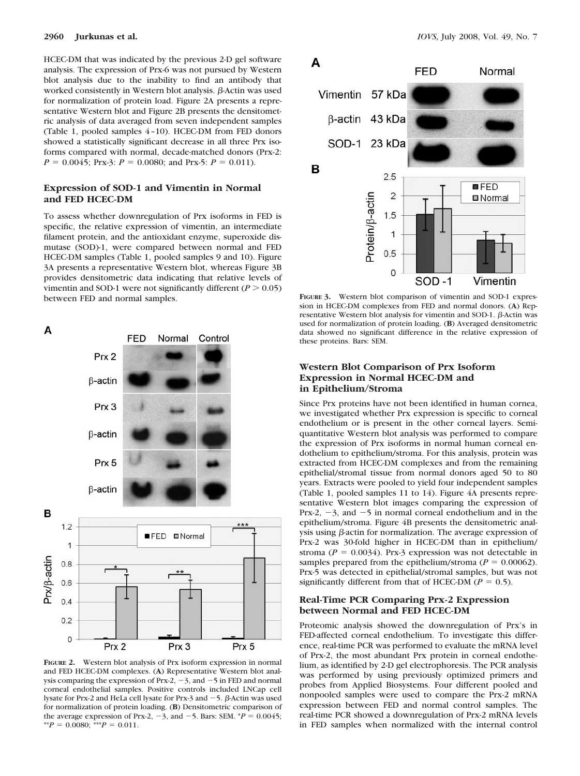HCEC-DM that was indicated by the previous 2-D gel software analysis. The expression of Prx-6 was not pursued by Western blot analysis due to the inability to find an antibody that worked consistently in Western blot analysis.  $\beta$ -Actin was used for normalization of protein load. Figure 2A presents a representative Western blot and Figure 2B presents the densitometric analysis of data averaged from seven independent samples (Table 1, pooled samples 4–10). HCEC-DM from FED donors showed a statistically significant decrease in all three Prx isoforms compared with normal, decade-matched donors (Prx-2:  $P = 0.0045$ ; Prx-3:  $P = 0.0080$ ; and Prx-5:  $P = 0.011$ ).

#### **Expression of SOD-1 and Vimentin in Normal and FED HCEC-DM**

To assess whether downregulation of Prx isoforms in FED is specific, the relative expression of vimentin, an intermediate filament protein, and the antioxidant enzyme, superoxide dismutase (SOD)-1, were compared between normal and FED HCEC-DM samples (Table 1, pooled samples 9 and 10). Figure 3A presents a representative Western blot, whereas Figure 3B provides densitometric data indicating that relative levels of vimentin and SOD-1 were not significantly different ( $P > 0.05$ ) between FED and normal samples.



**FIGURE 2.** Western blot analysis of Prx isoform expression in normal and FED HCEC-DM complexes. (**A**) Representative Western blot analysis comparing the expression of Prx-2,  $-3$ , and  $-5$  in FED and normal corneal endothelial samples. Positive controls included LNCap cell lysate for Prx-2 and HeLa cell lysate for Prx-3 and  $-5$ .  $\beta$ -Actin was used for normalization of protein loading. (**B**) Densitometric comparison of the average expression of Prx-2,  $-3$ , and  $-5$ . Bars: SEM.  $*P = 0.0045$ ; \*\* $P = 0.0080$ ; \*\*\* $P = 0.011$ .



**FIGURE 3.** Western blot comparison of vimentin and SOD-1 expression in HCEC-DM complexes from FED and normal donors. (**A**) Representative Western blot analysis for vimentin and SOD-1.  $\beta$ -Actin was used for normalization of protein loading. (**B**) Averaged densitometric data showed no significant difference in the relative expression of these proteins. Bars: SEM.

#### **Western Blot Comparison of Prx Isoform Expression in Normal HCEC-DM and in Epithelium/Stroma**

Since Prx proteins have not been identified in human cornea, we investigated whether Prx expression is specific to corneal endothelium or is present in the other corneal layers. Semiquantitative Western blot analysis was performed to compare the expression of Prx isoforms in normal human corneal endothelium to epithelium/stroma. For this analysis, protein was extracted from HCEC-DM complexes and from the remaining epithelial/stromal tissue from normal donors aged 50 to 80 years. Extracts were pooled to yield four independent samples (Table 1, pooled samples 11 to 14). Figure 4A presents representative Western blot images comparing the expression of Prx-2,  $-3$ , and  $-5$  in normal corneal endothelium and in the epithelium/stroma. Figure 4B presents the densitometric analysis using  $\beta$ -actin for normalization. The average expression of Prx-2 was 30-fold higher in HCEC-DM than in epithelium/ stroma ( $P = 0.0034$ ). Prx-3 expression was not detectable in samples prepared from the epithelium/stroma ( $P = 0.00062$ ). Prx-5 was detected in epithelial/stromal samples, but was not significantly different from that of HCEC-DM ( $P = 0.5$ ).

#### **Real-Time PCR Comparing Prx-2 Expression between Normal and FED HCEC-DM**

Proteomic analysis showed the downregulation of Prx's in FED-affected corneal endothelium. To investigate this difference, real-time PCR was performed to evaluate the mRNA level of Prx-2, the most abundant Prx protein in corneal endothelium, as identified by 2-D gel electrophoresis. The PCR analysis was performed by using previously optimized primers and probes from Applied Biosystems. Four different pooled and nonpooled samples were used to compare the Prx-2 mRNA expression between FED and normal control samples. The real-time PCR showed a downregulation of Prx-2 mRNA levels in FED samples when normalized with the internal control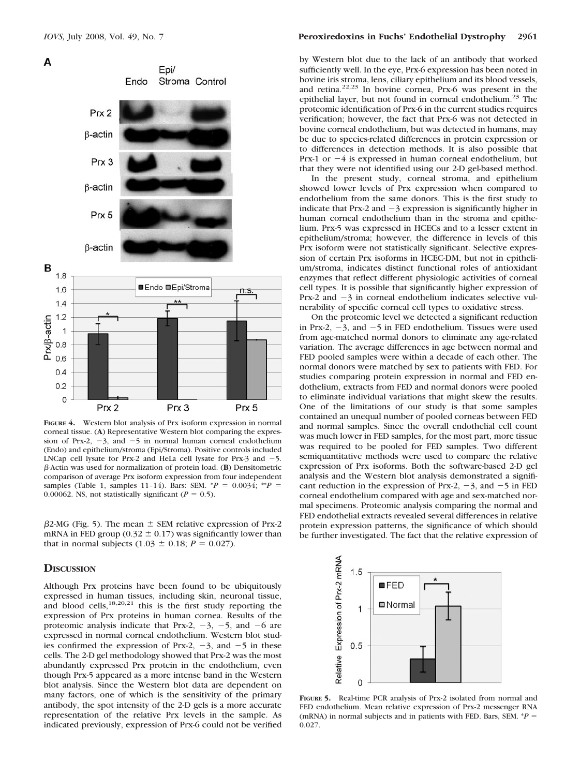



**FIGURE 4.** Western blot analysis of Prx isoform expression in normal corneal tissue. (**A**) Representative Western blot comparing the expression of Prx-2,  $-3$ , and  $-5$  in normal human corneal endothelium (Endo) and epithelium/stroma (Epi/Stroma). Positive controls included LNCap cell lysate for Prx-2 and HeLa cell lysate for Prx-3 and  $-5$ . -Actin was used for normalization of protein load. (**B**) Densitometric comparison of average Prx isoform expression from four independent samples (Table 1, samples 11-14). Bars: SEM.  $*P = 0.0034$ ;  $*P =$ 0.00062. NS, not statistically significant ( $P = 0.5$ ).

 $\beta$ 2-MG (Fig. 5). The mean  $\pm$  SEM relative expression of Prx-2 mRNA in FED group (0.32  $\pm$  0.17) was significantly lower than that in normal subjects  $(1.03 \pm 0.18; P = 0.027)$ .

#### **DISCUSSION**

Although Prx proteins have been found to be ubiquitously expressed in human tissues, including skin, neuronal tissue, and blood cells, $18,20,21$  this is the first study reporting the expression of Prx proteins in human cornea. Results of the proteomic analysis indicate that Prx-2,  $-3$ ,  $-5$ , and  $-6$  are expressed in normal corneal endothelium. Western blot studies confirmed the expression of Prx-2,  $-3$ , and  $-5$  in these cells. The 2-D gel methodology showed that Prx-2 was the most abundantly expressed Prx protein in the endothelium, even though Prx-5 appeared as a more intense band in the Western blot analysis. Since the Western blot data are dependent on many factors, one of which is the sensitivity of the primary antibody, the spot intensity of the 2-D gels is a more accurate representation of the relative Prx levels in the sample. As indicated previously, expression of Prx-6 could not be verified by Western blot due to the lack of an antibody that worked sufficiently well. In the eye, Prx-6 expression has been noted in bovine iris stroma, lens, ciliary epithelium and its blood vessels, and retina.22,23 In bovine cornea, Prx-6 was present in the epithelial layer, but not found in corneal endothelium.<sup>23</sup> The proteomic identification of Prx-6 in the current studies requires verification; however, the fact that Prx-6 was not detected in bovine corneal endothelium, but was detected in humans, may be due to species-related differences in protein expression or to differences in detection methods. It is also possible that Prx-1 or  $-4$  is expressed in human corneal endothelium, but that they were not identified using our 2-D gel-based method.

In the present study, corneal stroma, and epithelium showed lower levels of Prx expression when compared to endothelium from the same donors. This is the first study to indicate that Prx-2 and  $-3$  expression is significantly higher in human corneal endothelium than in the stroma and epithelium. Prx-5 was expressed in HCECs and to a lesser extent in epithelium/stroma; however, the difference in levels of this Prx isoform were not statistically significant. Selective expression of certain Prx isoforms in HCEC-DM, but not in epithelium/stroma, indicates distinct functional roles of antioxidant enzymes that reflect different physiologic activities of corneal cell types. It is possible that significantly higher expression of Prx-2 and  $-3$  in corneal endothelium indicates selective vulnerability of specific corneal cell types to oxidative stress.

On the proteomic level we detected a significant reduction in Prx-2,  $-3$ , and  $-5$  in FED endothelium. Tissues were used from age-matched normal donors to eliminate any age-related variation. The average differences in age between normal and FED pooled samples were within a decade of each other. The normal donors were matched by sex to patients with FED. For studies comparing protein expression in normal and FED endothelium, extracts from FED and normal donors were pooled to eliminate individual variations that might skew the results. One of the limitations of our study is that some samples contained an unequal number of pooled corneas between FED and normal samples. Since the overall endothelial cell count was much lower in FED samples, for the most part, more tissue was required to be pooled for FED samples. Two different semiquantitative methods were used to compare the relative expression of Prx isoforms. Both the software-based 2-D gel analysis and the Western blot analysis demonstrated a significant reduction in the expression of Prx-2,  $-3$ , and  $-5$  in FED corneal endothelium compared with age and sex-matched normal specimens. Proteomic analysis comparing the normal and FED endothelial extracts revealed several differences in relative protein expression patterns, the significance of which should be further investigated. The fact that the relative expression of



**FIGURE 5.** Real-time PCR analysis of Prx-2 isolated from normal and FED endothelium. Mean relative expression of Prx-2 messenger RNA (mRNA) in normal subjects and in patients with FED. Bars, SEM.  $*P =$ 0.027.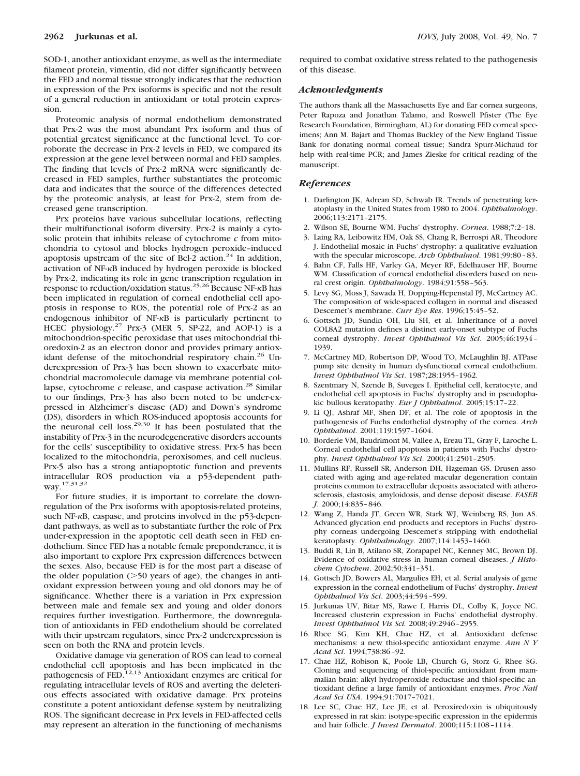SOD-1, another antioxidant enzyme, as well as the intermediate filament protein, vimentin, did not differ significantly between the FED and normal tissue strongly indicates that the reduction in expression of the Prx isoforms is specific and not the result of a general reduction in antioxidant or total protein expression.

Proteomic analysis of normal endothelium demonstrated that Prx-2 was the most abundant Prx isoform and thus of potential greatest significance at the functional level. To corroborate the decrease in Prx-2 levels in FED, we compared its expression at the gene level between normal and FED samples. The finding that levels of Prx-2 mRNA were significantly decreased in FED samples, further substantiates the proteomic data and indicates that the source of the differences detected by the proteomic analysis, at least for Prx-2, stem from decreased gene transcription.

Prx proteins have various subcellular locations, reflecting their multifunctional isoform diversity. Prx-2 is mainly a cytosolic protein that inhibits release of cytochrome *c* from mitochondria to cytosol and blocks hydrogen peroxide–induced apoptosis upstream of the site of Bcl-2 action.<sup>24</sup> In addition, activation of NF-KB induced by hydrogen peroxide is blocked by Prx-2, indicating its role in gene transcription regulation in response to reduction/oxidation status.<sup>25,26</sup> Because NF- $\kappa$ B has been implicated in regulation of corneal endothelial cell apoptosis in response to ROS, the potential role of Prx-2 as an endogenous inhibitor of NF-KB is particularly pertinent to HCEC physiology.27 Prx-3 (MER 5, SP-22, and AOP-1) is a mitochondrion-specific peroxidase that uses mitochondrial thioredoxin-2 as an electron donor and provides primary antioxidant defense of the mitochondrial respiratory chain.<sup>26</sup> Underexpression of Prx-3 has been shown to exacerbate mitochondrial macromolecule damage via membrane potential collapse, cytochrome *c* release, and caspase activation.<sup>28</sup> Similar to our findings, Prx-3 has also been noted to be under-expressed in Alzheimer's disease (AD) and Down's syndrome (DS), disorders in which ROS-induced apoptosis accounts for the neuronal cell loss.29,30 It has been postulated that the instability of Prx-3 in the neurodegenerative disorders accounts for the cells' susceptibility to oxidative stress. Prx-5 has been localized to the mitochondria, peroxisomes, and cell nucleus. Prx-5 also has a strong antiapoptotic function and prevents intracellular ROS production via a p53-dependent pathway.17,31,32

For future studies, it is important to correlate the downregulation of the Prx isoforms with apoptosis-related proteins, such NF-KB, caspase, and proteins involved in the p53-dependant pathways, as well as to substantiate further the role of Prx under-expression in the apoptotic cell death seen in FED endothelium. Since FED has a notable female preponderance, it is also important to explore Prx expression differences between the sexes. Also, because FED is for the most part a disease of the older population  $(>50$  years of age), the changes in antioxidant expression between young and old donors may be of significance. Whether there is a variation in Prx expression between male and female sex and young and older donors requires further investigation. Furthermore, the downregulation of antioxidants in FED endothelium should be correlated with their upstream regulators, since Prx-2 underexpression is seen on both the RNA and protein levels.

Oxidative damage via generation of ROS can lead to corneal endothelial cell apoptosis and has been implicated in the pathogenesis of  $FED$ <sup>12,13</sup> Antioxidant enzymes are critical for regulating intracellular levels of ROS and averting the deleterious effects associated with oxidative damage. Prx proteins constitute a potent antioxidant defense system by neutralizing ROS. The significant decrease in Prx levels in FED-affected cells may represent an alteration in the functioning of mechanisms required to combat oxidative stress related to the pathogenesis of this disease.

#### *Acknowledgments*

The authors thank all the Massachusetts Eye and Ear cornea surgeons, Peter Rapoza and Jonathan Talamo, and Roswell Pfister (The Eye Research Foundation, Birmingham, AL) for donating FED corneal specimens; Ann M. Bajart and Thomas Buckley of the New England Tissue Bank for donating normal corneal tissue; Sandra Spurr-Michaud for help with real-time PCR; and James Zieske for critical reading of the manuscript.

#### *References*

- 1. Darlington JK, Adrean SD, Schwab IR. Trends of penetrating keratoplasty in the United States from 1980 to 2004. *Ophthalmology*. 2006;113:2171–2175.
- 2. Wilson SE, Bourne WM. Fuchs' dystrophy. *Cornea*. 1988;7:2–18.
- 3. Laing RA, Leibowitz HM, Oak SS, Chang R, Berrospi AR, Theodore J. Endothelial mosaic in Fuchs' dystrophy: a qualitative evaluation with the specular microscope. *Arch Ophthalmol*. 1981;99:80–83.
- 4. Bahn CF, Falls HF, Varley GA, Meyer RF, Edelhauser HF, Bourne WM. Classification of corneal endothelial disorders based on neural crest origin. *Ophthalmology*. 1984;91:558–563.
- 5. Levy SG, Moss J, Sawada H, Dopping-Hepenstal PJ, McCartney AC. The composition of wide-spaced collagen in normal and diseased Descemet's membrane. *Curr Eye Res*. 1996;15:45–52.
- 6. Gottsch JD, Sundin OH, Liu SH, et al. Inheritance of a novel COL8A2 mutation defines a distinct early-onset subtype of Fuchs corneal dystrophy. *Invest Ophthalmol Vis Sci*. 2005;46:1934– 1939.
- 7. McCartney MD, Robertson DP, Wood TO, McLaughlin BJ. ATPase pump site density in human dysfunctional corneal endothelium. *Invest Ophthalmol Vis Sci*. 1987;28:1955–1962.
- 8. Szentmary N, Szende B, Suveges I. Epithelial cell, keratocyte, and endothelial cell apoptosis in Fuchs' dystrophy and in pseudophakic bullous keratopathy. *Eur J Ophthalmol*. 2005;15:17–22.
- 9. Li QJ, Ashraf MF, Shen DF, et al. The role of apoptosis in the pathogenesis of Fuchs endothelial dystrophy of the cornea. *Arch Ophthalmol*. 2001;119:1597–1604.
- 10. Borderie VM, Baudrimont M, Vallee A, Ereau TL, Gray F, Laroche L. Corneal endothelial cell apoptosis in patients with Fuchs' dystrophy. *Invest Ophthalmol Vis Sci*. 2000;41:2501–2505.
- 11. Mullins RF, Russell SR, Anderson DH, Hageman GS. Drusen associated with aging and age-related macular degeneration contain proteins common to extracellular deposits associated with atherosclerosis, elastosis, amyloidosis, and dense deposit disease. *FASEB J*. 2000;14:835–846.
- 12. Wang Z, Handa JT, Green WR, Stark WJ, Weinberg RS, Jun AS. Advanced glycation end products and receptors in Fuchs' dystrophy corneas undergoing Descemet's stripping with endothelial keratoplasty. *Ophthalmology*. 2007;114:1453–1460.
- 13. Buddi R, Lin B, Atilano SR, Zorapapel NC, Kenney MC, Brown DJ. Evidence of oxidative stress in human corneal diseases. *J Histochem Cytochem*. 2002;50:341–351.
- 14. Gottsch JD, Bowers AL, Margulies EH, et al. Serial analysis of gene expression in the corneal endothelium of Fuchs' dystrophy. *Invest Ophthalmol Vis Sci*. 2003;44:594–599.
- 15. Jurkunas UV, Bitar MS, Rawe I, Harris DL, Colby K, Joyce NC. Increased clusterin expression in Fuchs' endothelial dystrophy. *Invest Ophthalmol Vis Sci.* 2008;49:2946–2955.
- 16. Rhee SG, Kim KH, Chae HZ, et al. Antioxidant defense mechanisms: a new thiol-specific antioxidant enzyme. *Ann N Y Acad Sci*. 1994;738:86–92.
- 17. Chae HZ, Robison K, Poole LB, Church G, Storz G, Rhee SG. Cloning and sequencing of thiol-specific antioxidant from mammalian brain: alkyl hydroperoxide reductase and thiol-specific antioxidant define a large family of antioxidant enzymes. *Proc Natl Acad Sci USA*. 1994;91:7017–7021.
- 18. Lee SC, Chae HZ, Lee JE, et al. Peroxiredoxin is ubiquitously expressed in rat skin: isotype-specific expression in the epidermis and hair follicle. *J Invest Dermatol*. 2000;115:1108–1114.